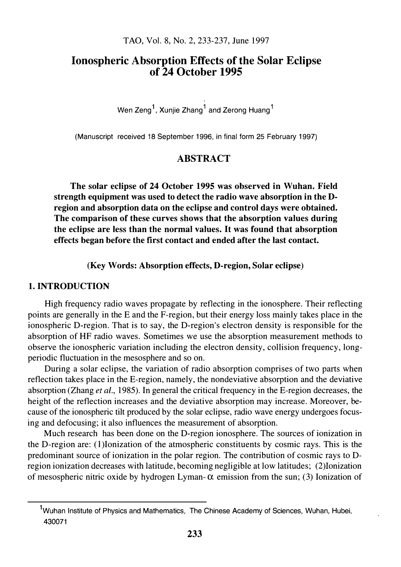# Ionospheric Absorption Effects of the Solar Eclipse of 24 October 1995

Wen Zeng $^{\sf 1}$ , Xunjie Zhang $^{\sf 1}$  and Zerong Huang $^{\sf 1}$ 

(Manuscript received 18 September 1996, in final form 25 February 1997)

# ABSTRACT

The solar eclipse of 24 October 1995 was observed in Wuhan. Field strength equipment was used to detect the radio wave absorption in the Dregion and absorption data on the eclipse and control days were obtained. The comparison of these curves shows that the absorption values during the eclipse are less than the normal values. It was found that absorption effects began before the first contact and ended after the last contact.

(Key Words: Absorption effects, D-region, Solar eclipse)

## 1. INTRODUCTION

High frequency radio waves propagate by reflecting in the ionosphere. Their reflecting points are generally in the E and the F-region, but their energy loss mainly takes place in the ionospheric D-region. That is to say, the D-region's electron density is responsible for the absorption of HF radio waves. Sometimes we use the absorption measurement methods to observe the ionospheric variation including the electron density, collision frequency, longperiodic fluctuation in the mesosphere and so on.

During a solar eclipse, the variation of radio absorption comprises of two parts when reflection takes place in the E-region, namely, the nondeviative absorption and the deviative absorption (Zhang et al., 1985). In general the critical frequency in the E-region decreases, the height of the reflection increases and the deviative absorption may increase. Moreover, because of the ionospheric tilt produced by the solar eclipse, radio wave energy undergoes focusing and defocusing; it also influences the measurement of absorption.

Much research has been done on the D-region ionosphere. The sources of ionization in the D-region are: (l )Ionization of the atmospheric constituents by cosmic rays. This is the predominant source of ionization in the polar region. The contribution of cosmic rays to Dregion ionization decreases with latitude, becoming negligible at low latitudes; (2)1onization of mesospheric nitric oxide by hydrogen Lyman- $\alpha$  emission from the sun; (3) Ionization of

<sup>&</sup>lt;sup>1</sup>Wuhan Institute of Physics and Mathematics, The Chinese Academy of Sciences, Wuhan, Hubei, 430071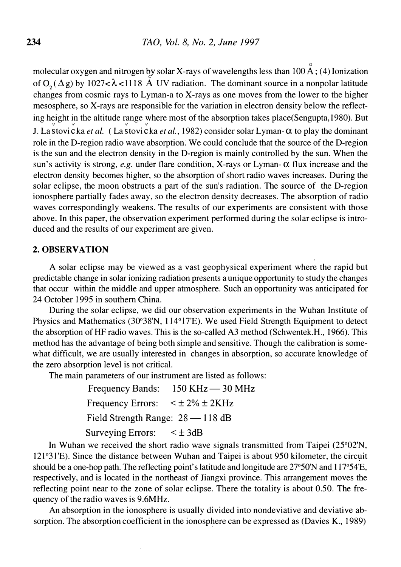0 molecular oxygen and nitrogen by solar X-rays of wavelengths less than  $100 \text{ A}$ ; (4) Ionization of  $O_2(\Delta g)$  by 1027< $\lambda$ <1118 A UV radiation. The dominant source in a nonpolar latitude changes from cosmic rays to Lyman-a to X-rays as one moves from the lower to the higher mesosphere, so X-rays are responsible for the variation in electron density below the reflecting height in the altitude range where most of the absorption takes place(Sengupta, 1980). But J. La stovi cka *et al.* (La stovi cka *et al.*, 1982) consider solar Lyman- $\alpha$  to play the dominant role in the D-region radio wave absorption: We could conclude that the source of the D-region is the sun and the electron density in the D-region is mainly controlled by the sun. When the sun's activity is strong, e.g. under flare condition, X-rays or Lyman- $\alpha$  flux increase and the electron density becomes higher, so the absorption of short radio waves increases. During the solar eclipse, the moon obstructs a part of the sun's radiation. The source of the D-region ionosphere partially fades away, so the electron density decreases. The absorption of radio waves correspondingly weakens. The results of our experiments are consistent with those above. In this paper, the observation experiment performed during the solar eclipse is introduced and the results of our experiment are given.

#### 2. OBSERVATION

A solar eclipse may be viewed as a vast geophysical experiment where the rapid but predictable change in solar ionizing radiation presents a unique opportunity to study the changes that occur within the middle and upper atmosphere. Such an opportunity was anticipated for 24 October 1995 in southern China.

During the solar eclipse, we did our observation experiments in the Wuhan Institute of Physics and Mathematics (30°38'N, 114°17'E). We used Field Strength Equipment to detect the absorption of HF radio waves. This is the so-called A3 method (Schwentek.H., 1966). This method has the advantage of being both simple and sensitive. Though the calibration is somewhat difficult, we are usually interested in changes in absorption, so accurate knowledge of the zero absorption level is not critical.

The main parameters of our instrument are listed as follows:

Frequency Bands: 150 KHz - 30 MHz Frequency Errors:  $\lt t 2\% \pm 2KHz$ Field Strength Range: 28 -118 dB Surveying Errors:  $\lt \pm 3dB$ 

In Wuhan we received the short radio wave signals transmitted from Taipei (25°02'N, 121°3 l 'E). Since the distance between Wuhan and Taipei is about 950 kilometer, the circuit should be a one-hop path. The reflecting point's latitude and longitude are 27°50'N and 117°54'E, respectively, and is located in the northeast of Jiangxi province. This arrangement moves the reflecting point near to the zone of solar eclipse. There the totality is about 0.50. The frequency of the radio waves is 9.6MHz.

An absorption in the ionosphere is usually divided into nondeviative and deviative absorption. The absorption coefficient in the ionosphere can be expressed as (Davies K., 1989)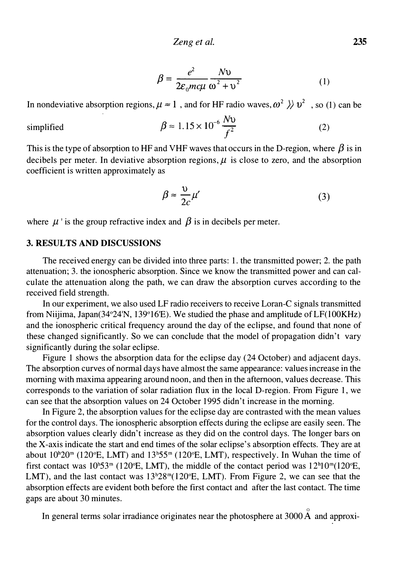$$
\beta = \frac{e^2}{2\varepsilon_0 mc\mu} \frac{Nv}{\omega^2 + v^2}
$$
 (1)

In nondeviative absorption regions,  $\mu \approx 1$ , and for HF radio waves,  $\omega^2 \gg v^2$ , so (1) can be

$$
\beta \approx 1.15 \times 10^{-6} \frac{Nv}{f^2} \tag{2}
$$

This is the type of absorption to HF and VHF waves that occurs in the D-region, where  $\beta$  is in decibels per meter. In deviative absorption regions,  $\mu$  is close to zero, and the absorption coefficient is written approximately as

$$
\beta \approx \frac{v}{2c} \mu'
$$
 (3)

where  $\mu$  ' is the group refractive index and  $\beta$  is in decibels per meter.

## 3. RESULTS AND DISCUSSIONS

simplified

The received energy can be divided into three parts: 1. the transmitted power; 2. the path attenuation; 3. the ionospheric absorption. Since we know the transmitted power and can calculate the attenuation along the path, we can draw the absorption curves according to the received field strength.

In our experiment, we also used LF radio receivers to receive Loran-C signals transmitted from Niijima, Japan( $34^{\circ}24'N$ ,  $139^{\circ}16'E$ ). We studied the phase and amplitude of LF(100KHz) and the ionospheric critical frequency around the day of the eclipse, and found that none of these changed significantly. So we can conclude that the model of propagation didn't vary significantly during the solar eclipse.

Figure 1 shows the absorption data for the eclipse day (24 October) and adjacent days. The absorption curves of normal days have almost the same appearance: values increase in the morning with maxima appearing around noon, and then in the afternoon, values decrease. This corresponds to the variation of solar radiation flux in the local D-region. From Figure 1, we can see that the absorption values on 24 October 1995 didn't increase in the morning.

In Figure 2, the absorption values for the eclipse day are contrasted with the mean values for the control days. The ionospheric absorption effects during the eclipse are easily seen. The absorption values clearly didn't increase as they did on the control days. The longer bars on the X-axis indicate the start and end times of the solar eclipse's absorption effects. They are at about  $10^h20^m$  (120°E, LMT) and  $13^h55^m$  (120°E, LMT), respectively. In Wuhan the time of first contact was  $10^{\text{h}}53^{\text{m}}$  (120°E, LMT), the middle of the contact period was  $12^{\text{h}}10^{\text{m}}(120^{\circ}E,$ LMT), and the last contact was  $13<sup>h</sup>28<sup>m</sup>(120<sup>o</sup>E, LMT)$ . From Figure 2, we can see that the absorption effects are evident both before the first contact and after the last contact. The time gaps are about 30 minutes.

In general terms solar irradiance originates near the photosphere at 3000 A and approxi-

0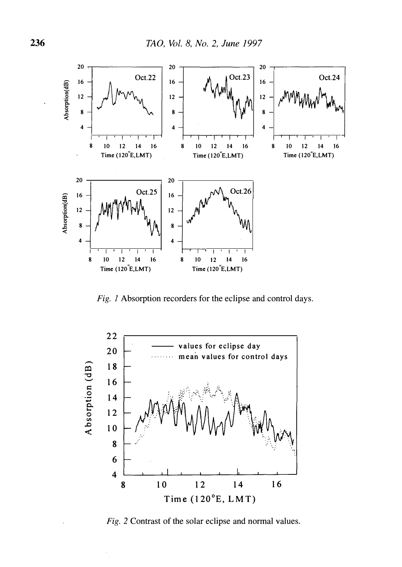

Fig. 1 Absorption recorders for the eclipse and control days.



Fig. 2 Contrast of the solar eclipse and normal values.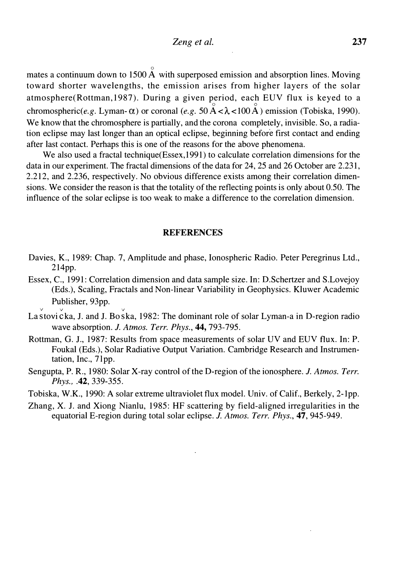$^{\circ}$ mates a continuum down to 1500 A with superposed emission and absorption lines. Moving toward shorter wavelengths, the emission arises from higher layers of the solar atmosphere(Rottman, 1987). During a given period, each EUV flux is keyed to a chromospheric(e.g. Lyman- $\alpha$ ) or coronal (e.g. 50  $\stackrel{\circ}{A} < \lambda < 100 \stackrel{\circ}{A}$ ) emission (Tobiska, 1990). We know that the chromosphere is partially, and the corona completely, invisible. So, a radiation eclipse may last longer than an optical eclipse, beginning before first contact and ending after last contact. Perhaps this is one of the reasons for the above phenomena.

We also used a fractal technique(Essex, 1991) to calculate correlation dimensions for the data in our experiment. The fractal dimensions of the data for 24, 25 and 26 October are 2.231, 2.212, and 2.236, respectively. No obvious difference exists among their correlation dimensions. We consider the reason is that the totality of the reflecting points is only about 0.50. The influence of the solar eclipse is too weak to make a difference to the correlation dimension.

#### **REFERENCES**

- Davies, K., 1989: Chap. 7, Amplitude and phase, Ionospheric Radio. Peter Peregrinus Ltd., 214pp.
- Essex, C., 1991: Correlation dimension and data sample size. In: D.Schertzer and S.Lovejoy (Eds.), Scaling, Fractals and Non-linear Variability in Geophysics. Kluwer Academic Publisher, 93pp.
- La stovi cka, J. and J. Bo ska, 1982: The dominant role of solar Lyman-a in D-region radio wave absorption. J. Atmos. Terr. Phys., 44, 793-795.

v v v

- Rottman, G. J., 1987: Results from space measurements of solar UV and EUV flux. In: P. Foukal (Eds.), Solar Radiative Output Variation. Cambridge Research and Instrumentation, Inc., 7lpp.
- Sengupta, P. R., 1980: Solar X-ray control of the D-region of the ionosphere. J. Atmos. Terr. Phys., .42, 339-355.
- Tobiska, W.K., 1990: A solar extreme ultraviolet flux model. Univ. of Calif., Berkely, 2-1pp.
- Zhang, X. J. and Xiong Nianlu, 1985: HF scattering by field-aligned irregularities in the equatorial E-region during total solar eclipse. J. Atmos. Terr. Phys., 47, 945-949.